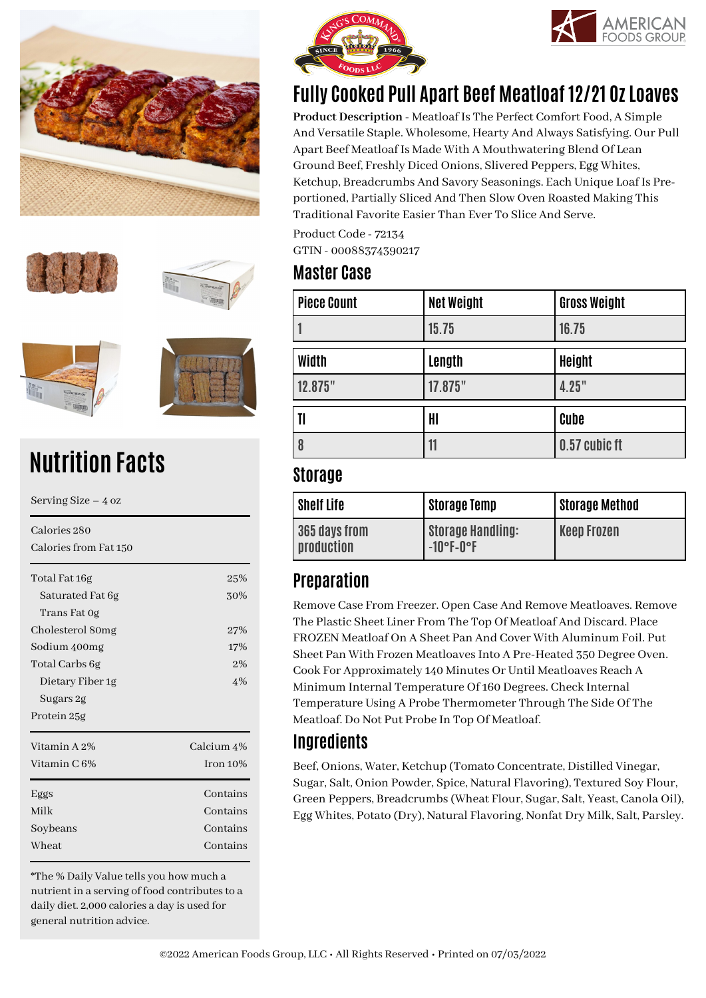









# **Nutrition Facts**

Serving Size – 4 oz Calories 280 Calories from Fat 150 Total Fat 16g 25% Saturated Fat 6g 30% Trans Fat 0g Cholesterol 80mg 27% Sodium 400mg 17% Total Carbs 6g 2% Dietary Fiber 1g 4% Sugars 2g Protein 25g Vitamin A 2% Calcium 4% Vitamin  $C_1 6\%$  Iron 10% Eggs Contains Milk Contains Soybeans Contains Wheat Contains

\*The % Daily Value tells you how much a nutrient in a serving of food contributes to a daily diet. 2,000 calories a day is used for general nutrition advice.





# **Fully Cooked Pull Apart Beef Meatloaf 12/21 Oz Loaves**

**Product Description** - Meatloaf Is The Perfect Comfort Food, A Simple And Versatile Staple. Wholesome, Hearty And Always Satisfying. Our Pull Apart Beef Meatloaf Is Made With A Mouthwatering Blend Of Lean Ground Beef, Freshly Diced Onions, Slivered Peppers, Egg Whites, Ketchup, Breadcrumbs And Savory Seasonings. Each Unique Loaf Is Preportioned, Partially Sliced And Then Slow Oven Roasted Making This Traditional Favorite Easier Than Ever To Slice And Serve.

Product Code - 72134 GTIN - 00088374390217

#### **Master Case**

| <b>Piece Count</b>    | <b>Net Weight</b> | <b>Gross Weight</b> |
|-----------------------|-------------------|---------------------|
|                       | 15.75             | 16.75               |
| Width                 | Length            | <b>Height</b>       |
| 12.875"               | 17.875"           | 4.25"               |
| $\mathbf{I}$          | HI                | Cube                |
| $\boldsymbol{\delta}$ | 11                | 0.57 cubic ft       |

#### **Storage**

| <b>Shelf Life</b>           | <b>Storage Temp</b>                      | <b>Storage Method</b> |
|-----------------------------|------------------------------------------|-----------------------|
| 365 days from<br>production | <b>Storage Handling:</b><br>$-10$ °F-0°F | <b>Keep Frozen</b>    |

## **Preparation**

Remove Case From Freezer. Open Case And Remove Meatloaves. Remove The Plastic Sheet Liner From The Top Of Meatloaf And Discard. Place FROZEN Meatloaf On A Sheet Pan And Cover With Aluminum Foil. Put Sheet Pan With Frozen Meatloaves Into A Pre-Heated 350 Degree Oven. Cook For Approximately 140 Minutes Or Until Meatloaves Reach A Minimum Internal Temperature Of 160 Degrees. Check Internal Temperature Using A Probe Thermometer Through The Side Of The Meatloaf. Do Not Put Probe In Top Of Meatloaf.

## **Ingredients**

Beef, Onions, Water, Ketchup (Tomato Concentrate, Distilled Vinegar, Sugar, Salt, Onion Powder, Spice, Natural Flavoring), Textured Soy Flour, Green Peppers, Breadcrumbs (Wheat Flour, Sugar, Salt, Yeast, Canola Oil), Egg Whites, Potato (Dry), Natural Flavoring, Nonfat Dry Milk, Salt, Parsley.